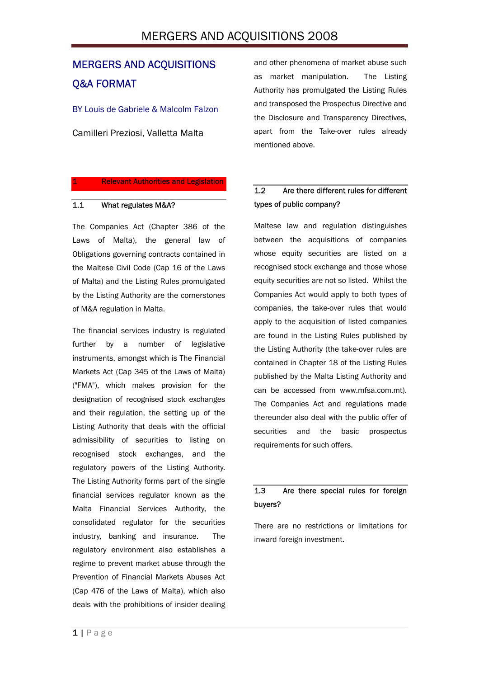# MERGERS AND ACQUISITIONS 2008

# MERGERS AND ACQUISITIONS Q&A FORMAT

BY Louis de Gabriele & Malcolm Falzon

Camilleri Preziosi, Valletta Malta

#### **Relevant Authorities and Legislation**

#### 1.1 What regulates M&A?

The Companies Act (Chapter 386 of the Laws of Malta), the general law of Obligations governing contracts contained in the Maltese Civil Code (Cap 16 of the Laws of Malta) and the Listing Rules promulgated by the Listing Authority are the cornerstones of M&A regulation in Malta.

The financial services industry is regulated further by a number of legislative instruments, amongst which is The Financial Markets Act (Cap 345 of the Laws of Malta) ("FMA"), which makes provision for the designation of recognised stock exchanges and their regulation, the setting up of the Listing Authority that deals with the official admissibility of securities to listing on recognised stock exchanges, and the regulatory powers of the Listing Authority. The Listing Authority forms part of the single financial services regulator known as the Malta Financial Services Authority, the consolidated regulator for the securities industry, banking and insurance. The regulatory environment also establishes a regime to prevent market abuse through the Prevention of Financial Markets Abuses Act (Cap 476 of the Laws of Malta), which also deals with the prohibitions of insider dealing

and other phenomena of market abuse such as market manipulation. The Listing Authority has promulgated the Listing Rules and transposed the Prospectus Directive and the Disclosure and Transparency Directives, apart from the Take-over rules already mentioned above.

# 1.2 Are there different rules for different types of public company?

Maltese law and regulation distinguishes between the acquisitions of companies whose equity securities are listed on a recognised stock exchange and those whose equity securities are not so listed. Whilst the Companies Act would apply to both types of companies, the take-over rules that would apply to the acquisition of listed companies are found in the Listing Rules published by the Listing Authority (the take-over rules are contained in Chapter 18 of the Listing Rules published by the Malta Listing Authority and can be accessed from www.mfsa.com.mt). The Companies Act and regulations made thereunder also deal with the public offer of securities and the basic prospectus requirements for such offers.

### 1.3 Are there special rules for foreign buyers?

There are no restrictions or limitations for inward foreign investment.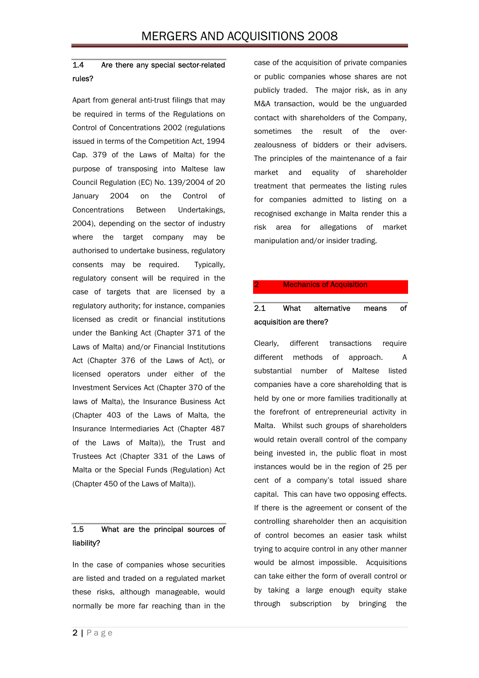## 1.4 Are there any special sector-related rules?

Apart from general anti-trust filings that may be required in terms of the Regulations on Control of Concentrations 2002 (regulations issued in terms of the Competition Act, 1994 Cap. 379 of the Laws of Malta) for the purpose of transposing into Maltese law Council Regulation (EC) No. 139/2004 of 20 January 2004 on the Control of Concentrations Between Undertakings, 2004), depending on the sector of industry where the target company may be authorised to undertake business, regulatory consents may be required. Typically, regulatory consent will be required in the case of targets that are licensed by a regulatory authority; for instance, companies licensed as credit or financial institutions under the Banking Act (Chapter 371 of the Laws of Malta) and/or Financial Institutions Act (Chapter 376 of the Laws of Act), or licensed operators under either of the Investment Services Act (Chapter 370 of the laws of Malta), the Insurance Business Act (Chapter 403 of the Laws of Malta, the Insurance Intermediaries Act (Chapter 487 of the Laws of Malta)), the Trust and Trustees Act (Chapter 331 of the Laws of Malta or the Special Funds (Regulation) Act (Chapter 450 of the Laws of Malta)).

## 1.5 What are the principal sources of liability?

In the case of companies whose securities are listed and traded on a regulated market these risks, although manageable, would normally be more far reaching than in the case of the acquisition of private companies or public companies whose shares are not publicly traded. The major risk, as in any M&A transaction, would be the unguarded contact with shareholders of the Company, sometimes the result of the overzealousness of bidders or their advisers. The principles of the maintenance of a fair market and equality of shareholder treatment that permeates the listing rules for companies admitted to listing on a recognised exchange in Malta render this a risk area for allegations of market manipulation and/or insider trading.

#### **Mechanics of Acquisition**

# 2.1 What alternative means of acquisition are there?

Clearly, different transactions require different methods of approach. A substantial number of Maltese listed companies have a core shareholding that is held by one or more families traditionally at the forefront of entrepreneurial activity in Malta. Whilst such groups of shareholders would retain overall control of the company being invested in, the public float in most instances would be in the region of 25 per cent of a company's total issued share capital. This can have two opposing effects. If there is the agreement or consent of the controlling shareholder then an acquisition of control becomes an easier task whilst trying to acquire control in any other manner would be almost impossible. Acquisitions can take either the form of overall control or by taking a large enough equity stake through subscription by bringing the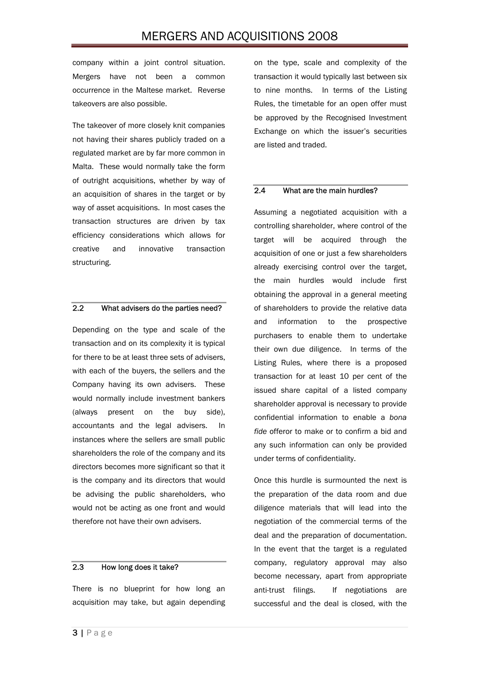company within a joint control situation. Mergers have not been a common occurrence in the Maltese market. Reverse takeovers are also possible.

The takeover of more closely knit companies not having their shares publicly traded on a regulated market are by far more common in Malta. These would normally take the form of outright acquisitions, whether by way of an acquisition of shares in the target or by way of asset acquisitions. In most cases the transaction structures are driven by tax efficiency considerations which allows for creative and innovative transaction structuring.

#### 2.2 What advisers do the parties need?

Depending on the type and scale of the transaction and on its complexity it is typical for there to be at least three sets of advisers, with each of the buyers, the sellers and the Company having its own advisers. These would normally include investment bankers (always present on the buy side), accountants and the legal advisers. In instances where the sellers are small public shareholders the role of the company and its directors becomes more significant so that it is the company and its directors that would be advising the public shareholders, who would not be acting as one front and would therefore not have their own advisers.

#### 2.3 How long does it take?

There is no blueprint for how long an acquisition may take, but again depending on the type, scale and complexity of the transaction it would typically last between six to nine months. In terms of the Listing Rules, the timetable for an open offer must be approved by the Recognised Investment Exchange on which the issuer's securities are listed and traded.

#### 2.4 What are the main hurdles?

Assuming a negotiated acquisition with a controlling shareholder, where control of the target will be acquired through the acquisition of one or just a few shareholders already exercising control over the target, the main hurdles would include first obtaining the approval in a general meeting of shareholders to provide the relative data and information to the prospective purchasers to enable them to undertake their own due diligence. In terms of the Listing Rules, where there is a proposed transaction for at least 10 per cent of the issued share capital of a listed company shareholder approval is necessary to provide confidential information to enable a *bona fide* offeror to make or to confirm a bid and any such information can only be provided under terms of confidentiality.

Once this hurdle is surmounted the next is the preparation of the data room and due diligence materials that will lead into the negotiation of the commercial terms of the deal and the preparation of documentation. In the event that the target is a regulated company, regulatory approval may also become necessary, apart from appropriate anti-trust filings. If negotiations are successful and the deal is closed, with the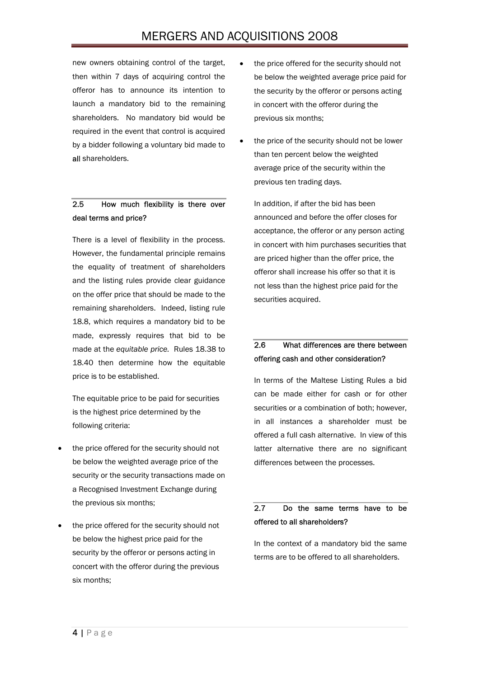new owners obtaining control of the target, then within 7 days of acquiring control the offeror has to announce its intention to launch a mandatory bid to the remaining shareholders. No mandatory bid would be required in the event that control is acquired by a bidder following a voluntary bid made to all shareholders.

# 2.5 How much flexibility is there over deal terms and price?

There is a level of flexibility in the process. However, the fundamental principle remains the equality of treatment of shareholders and the listing rules provide clear guidance on the offer price that should be made to the remaining shareholders. Indeed, listing rule 18.8, which requires a mandatory bid to be made, expressly requires that bid to be made at the *equitable price.* Rules 18.38 to 18.40 then determine how the equitable price is to be established.

The equitable price to be paid for securities is the highest price determined by the following criteria:

- the price offered for the security should not be below the weighted average price of the security or the security transactions made on a Recognised Investment Exchange during the previous six months;
- the price offered for the security should not be below the highest price paid for the security by the offeror or persons acting in concert with the offeror during the previous six months;
- the price offered for the security should not be below the weighted average price paid for the security by the offeror or persons acting in concert with the offeror during the previous six months;
- the price of the security should not be lower than ten percent below the weighted average price of the security within the previous ten trading days.

In addition, if after the bid has been announced and before the offer closes for acceptance, the offeror or any person acting in concert with him purchases securities that are priced higher than the offer price, the offeror shall increase his offer so that it is not less than the highest price paid for the securities acquired.

## 2.6 What differences are there between offering cash and other consideration?

In terms of the Maltese Listing Rules a bid can be made either for cash or for other securities or a combination of both; however, in all instances a shareholder must be offered a full cash alternative. In view of this latter alternative there are no significant differences between the processes.

## 2.7 Do the same terms have to be offered to all shareholders?

In the context of a mandatory bid the same terms are to be offered to all shareholders.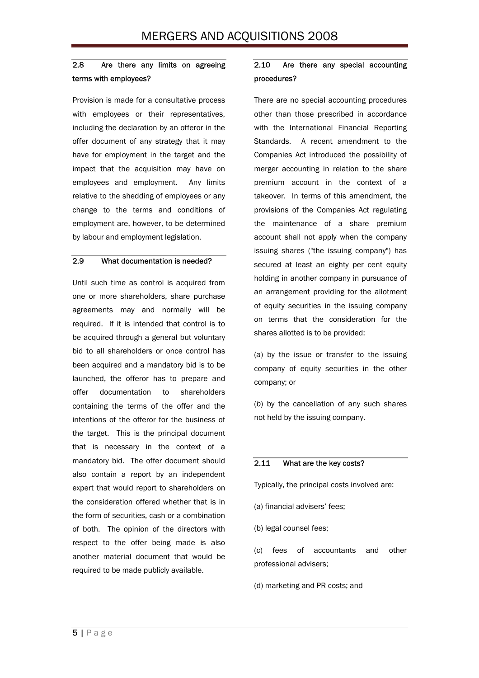### 2.8 Are there any limits on agreeing terms with employees?

Provision is made for a consultative process with employees or their representatives, including the declaration by an offeror in the offer document of any strategy that it may have for employment in the target and the impact that the acquisition may have on employees and employment. Any limits relative to the shedding of employees or any change to the terms and conditions of employment are, however, to be determined by labour and employment legislation.

#### 2.9 What documentation is needed?

Until such time as control is acquired from one or more shareholders, share purchase agreements may and normally will be required. If it is intended that control is to be acquired through a general but voluntary bid to all shareholders or once control has been acquired and a mandatory bid is to be launched, the offeror has to prepare and offer documentation to shareholders containing the terms of the offer and the intentions of the offeror for the business of the target. This is the principal document that is necessary in the context of a mandatory bid. The offer document should also contain a report by an independent expert that would report to shareholders on the consideration offered whether that is in the form of securities, cash or a combination of both. The opinion of the directors with respect to the offer being made is also another material document that would be required to be made publicly available.

### 2.10 Are there any special accounting procedures?

There are no special accounting procedures other than those prescribed in accordance with the International Financial Reporting Standards. A recent amendment to the Companies Act introduced the possibility of merger accounting in relation to the share premium account in the context of a takeover. In terms of this amendment, the provisions of the Companies Act regulating the maintenance of a share premium account shall not apply when the company issuing shares ("the issuing company") has secured at least an eighty per cent equity holding in another company in pursuance of an arrangement providing for the allotment of equity securities in the issuing company on terms that the consideration for the shares allotted is to be provided:

(*a*) by the issue or transfer to the issuing company of equity securities in the other company; or

(*b*) by the cancellation of any such shares not held by the issuing company.

#### 2.11 What are the key costs?

Typically, the principal costs involved are:

- (a) financial advisers' fees;
- (b) legal counsel fees;

(c) fees of accountants and other professional advisers;

(d) marketing and PR costs; and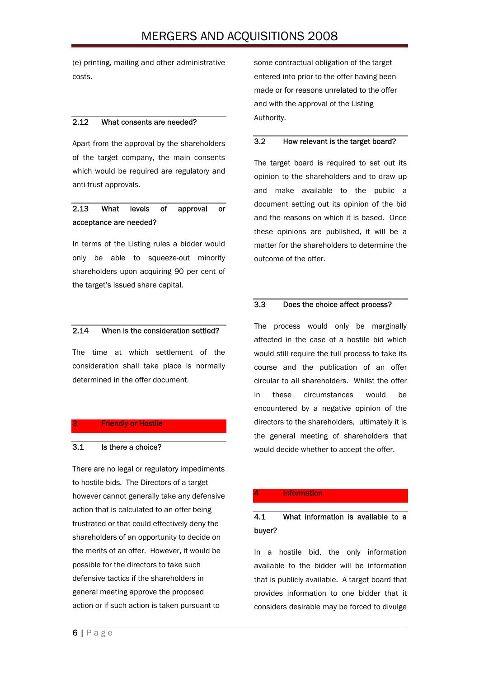(e) printing, mailing and other administrative costs.

### 2.12 What consents are needed?

Apart from the approval by the shareholders of the target company, the main consents which would be required are regulatory and anti-trust approvals.

## 2.13 What levels of approval or acceptance are needed?

In terms of the Listing rules a bidder would only be able to squeeze-out minority shareholders upon acquiring 90 per cent of the target's issued share capital.

#### 2.14 When is the consideration settled?

The time at which settlement of the consideration shall take place is normally determined in the offer document.

#### **Friendly or Hostile**

### 3.1 Is there a choice?

There are no legal or regulatory impediments to hostile bids. The Directors of a target however cannot generally take any defensive action that is calculated to an offer being frustrated or that could effectively deny the shareholders of an opportunity to decide on the merits of an offer. However, it would be possible for the directors to take such defensive tactics if the shareholders in general meeting approve the proposed action or if such action is taken pursuant to

some contractual obligation of the target entered into prior to the offer having been made or for reasons unrelated to the offer and with the approval of the Listing Authority.

#### 3.2 How relevant is the target board?

The target board is required to set out its opinion to the shareholders and to draw up and make available to the public a document setting out its opinion of the bid and the reasons on which it is based. Once these opinions are published, it will be a matter for the shareholders to determine the outcome of the offer.

#### 3.3 Does the choice affect process?

The process would only be marginally affected in the case of a hostile bid which would still require the full process to take its course and the publication of an offer circular to all shareholders. Whilst the offer in these circumstances would be encountered by a negative opinion of the directors to the shareholders, ultimately it is the general meeting of shareholders that would decide whether to accept the offer.

#### **Information**

### 4.1 What information is available to a buyer?

In a hostile bid, the only information available to the bidder will be information that is publicly available. A target board that provides information to one bidder that it considers desirable may be forced to divulge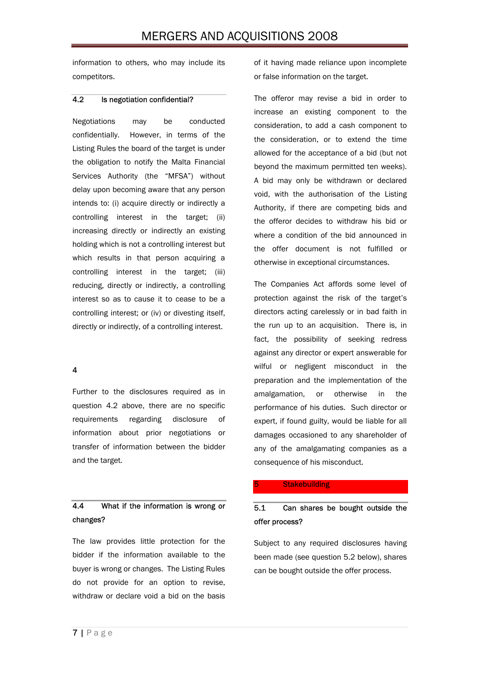information to others, who may include its competitors.

#### 4.2 Is negotiation confidential?

Negotiations may be conducted confidentially. However, in terms of the Listing Rules the board of the target is under the obligation to notify the Malta Financial Services Authority (the "MFSA") without delay upon becoming aware that any person intends to: (i) acquire directly or indirectly a controlling interest in the target; (ii) increasing directly or indirectly an existing holding which is not a controlling interest but which results in that person acquiring a controlling interest in the target; (iii) reducing, directly or indirectly, a controlling interest so as to cause it to cease to be a controlling interest; or (iv) or divesting itself, directly or indirectly, of a controlling interest.

### 4

Further to the disclosures required as in question 4.2 above, there are no specific requirements regarding disclosure of information about prior negotiations or transfer of information between the bidder and the target.

## 4.4 What if the information is wrong or changes?

The law provides little protection for the bidder if the information available to the buyer is wrong or changes. The Listing Rules do not provide for an option to revise, withdraw or declare void a bid on the basis of it having made reliance upon incomplete or false information on the target.

The offeror may revise a bid in order to increase an existing component to the consideration, to add a cash component to the consideration, or to extend the time allowed for the acceptance of a bid (but not beyond the maximum permitted ten weeks). A bid may only be withdrawn or declared void, with the authorisation of the Listing Authority, if there are competing bids and the offeror decides to withdraw his bid or where a condition of the bid announced in the offer document is not fulfilled or otherwise in exceptional circumstances.

The Companies Act affords some level of protection against the risk of the target's directors acting carelessly or in bad faith in the run up to an acquisition. There is, in fact, the possibility of seeking redress against any director or expert answerable for wilful or negligent misconduct in the preparation and the implementation of the amalgamation, or otherwise in the performance of his duties. Such director or expert, if found guilty, would be liable for all damages occasioned to any shareholder of any of the amalgamating companies as a consequence of his misconduct.

#### **Stakebuilding**

## 5.1 Can shares be bought outside the offer process?

Subject to any required disclosures having been made (see question 5.2 below), shares can be bought outside the offer process.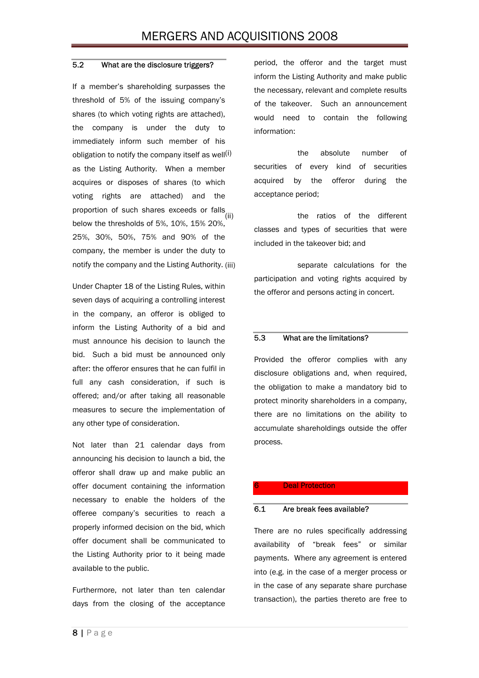#### 5.2 What are the disclosure triggers?

If a member's shareholding surpasses the threshold of 5% of the issuing company's shares (to which voting rights are attached), the company is under the duty to immediately inform such member of his obligation to notify the company itself as well $(i)$ as the Listing Authority. When a member acquires or disposes of shares (to which voting rights are attached) and the proportion of such shares exceeds or falls<sub>(ii)</sub> below the thresholds of 5%, 10%, 15% 20%, 25%, 30%, 50%, 75% and 90% of the company, the member is under the duty to notify the company and the Listing Authority.

Under Chapter 18 of the Listing Rules, within seven days of acquiring a controlling interest in the company, an offeror is obliged to inform the Listing Authority of a bid and must announce his decision to launch the bid. Such a bid must be announced only after: the offeror ensures that he can fulfil in full any cash consideration, if such is offered; and/or after taking all reasonable measures to secure the implementation of any other type of consideration.

Not later than 21 calendar days from announcing his decision to launch a bid, the offeror shall draw up and make public an offer document containing the information necessary to enable the holders of the offeree company's securities to reach a properly informed decision on the bid, which offer document shall be communicated to the Listing Authority prior to it being made available to the public.

Furthermore, not later than ten calendar days from the closing of the acceptance

period, the offeror and the target must inform the Listing Authority and make public the necessary, relevant and complete results of the takeover. Such an announcement would need to contain the following information:

the absolute number of securities of every kind of securities acquired by the offeror during the acceptance period;

the ratios of the different classes and types of securities that were included in the takeover bid; and

separate calculations for the participation and voting rights acquired by the offeror and persons acting in concert.

#### 5.3 What are the limitations?

Provided the offeror complies with any disclosure obligations and, when required, the obligation to make a mandatory bid to protect minority shareholders in a company, there are no limitations on the ability to accumulate shareholdings outside the offer process.

#### **Deal Protection**

#### 6.1 Are break fees available?

There are no rules specifically addressing availability of "break fees" or similar payments. Where any agreement is entered into (e.g. in the case of a merger process or in the case of any separate share purchase transaction), the parties thereto are free to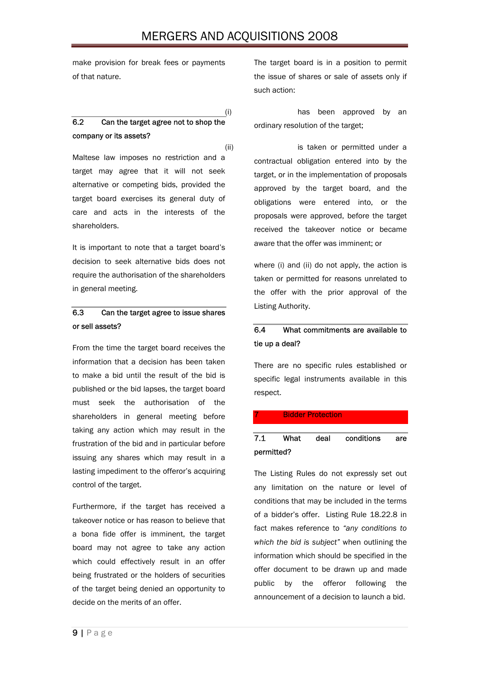# MERGERS AND ACQUISITIONS 2008

make provision for break fees or payments of that nature.

# 6.2 Can the target agree not to shop the company or its assets?

Maltese law imposes no restriction and a target may agree that it will not seek alternative or competing bids, provided the target board exercises its general duty of care and acts in the interests of the shareholders.

It is important to note that a target board's decision to seek alternative bids does not require the authorisation of the shareholders in general meeting.

## 6.3 Can the target agree to issue shares or sell assets?

From the time the target board receives the information that a decision has been taken to make a bid until the result of the bid is published or the bid lapses, the target board must seek the authorisation of the shareholders in general meeting before taking any action which may result in the frustration of the bid and in particular before issuing any shares which may result in a lasting impediment to the offeror's acquiring control of the target.

Furthermore, if the target has received a takeover notice or has reason to believe that a bona fide offer is imminent, the target board may not agree to take any action which could effectively result in an offer being frustrated or the holders of securities of the target being denied an opportunity to decide on the merits of an offer.

The target board is in a position to permit the issue of shares or sale of assets only if such action:

(i) has been approved by an ordinary resolution of the target;

(ii) is taken or permitted under a contractual obligation entered into by the target, or in the implementation of proposals approved by the target board, and the obligations were entered into, or the proposals were approved, before the target received the takeover notice or became aware that the offer was imminent; or

> where (i) and (ii) do not apply, the action is taken or permitted for reasons unrelated to the offer with the prior approval of the Listing Authority.

# 6.4 What commitments are available to tie up a deal?

There are no specific rules established or specific legal instruments available in this respect.

#### **Bidder Protection**

### 7.1 What deal conditions are permitted?

The Listing Rules do not expressly set out any limitation on the nature or level of conditions that may be included in the terms of a bidder's offer. Listing Rule 18.22.8 in fact makes reference to *"any conditions to which the bid is subject"* when outlining the information which should be specified in the offer document to be drawn up and made public by the offeror following the announcement of a decision to launch a bid.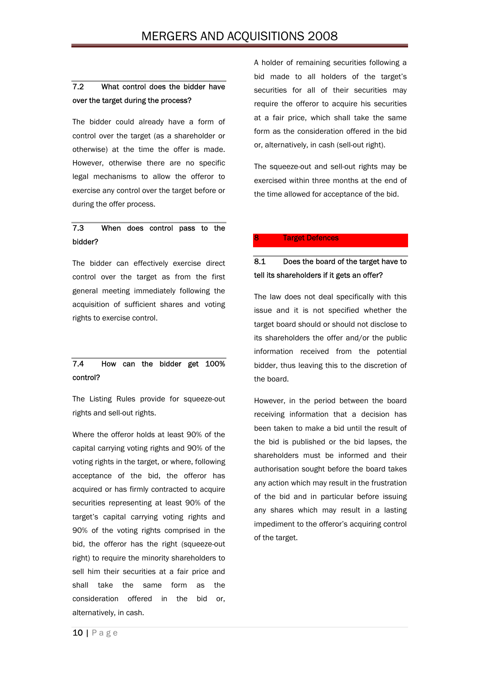# 7.2 What control does the bidder have over the target during the process?

The bidder could already have a form of control over the target (as a shareholder or otherwise) at the time the offer is made. However, otherwise there are no specific legal mechanisms to allow the offeror to exercise any control over the target before or during the offer process.

### 7.3 When does control pass to the bidder?

The bidder can effectively exercise direct control over the target as from the first general meeting immediately following the acquisition of sufficient shares and voting rights to exercise control.

## 7.4 How can the bidder get 100% control?

The Listing Rules provide for squeeze-out rights and sell-out rights.

Where the offeror holds at least 90% of the capital carrying voting rights and 90% of the voting rights in the target, or where, following acceptance of the bid, the offeror has acquired or has firmly contracted to acquire securities representing at least 90% of the target's capital carrying voting rights and 90% of the voting rights comprised in the bid, the offeror has the right (squeeze-out right) to require the minority shareholders to sell him their securities at a fair price and shall take the same form as the consideration offered in the bid or, alternatively, in cash.

A holder of remaining securities following a bid made to all holders of the target's securities for all of their securities may require the offeror to acquire his securities at a fair price, which shall take the same form as the consideration offered in the bid or, alternatively, in cash (sell-out right).

The squeeze-out and sell-out rights may be exercised within three months at the end of the time allowed for acceptance of the bid.

#### **Target Defences**

# 8.1 Does the board of the target have to tell its shareholders if it gets an offer?

The law does not deal specifically with this issue and it is not specified whether the target board should or should not disclose to its shareholders the offer and/or the public information received from the potential bidder, thus leaving this to the discretion of the board.

However, in the period between the board receiving information that a decision has been taken to make a bid until the result of the bid is published or the bid lapses, the shareholders must be informed and their authorisation sought before the board takes any action which may result in the frustration of the bid and in particular before issuing any shares which may result in a lasting impediment to the offeror's acquiring control of the target.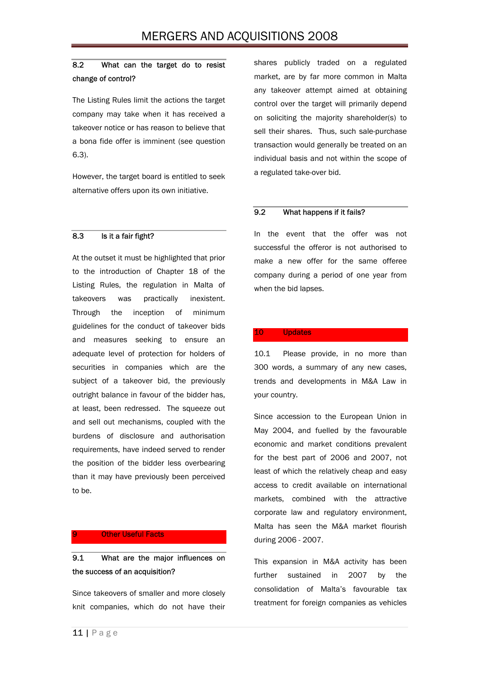### 8.2 What can the target do to resist change of control?

The Listing Rules limit the actions the target company may take when it has received a takeover notice or has reason to believe that a bona fide offer is imminent (see question 6.3).

However, the target board is entitled to seek alternative offers upon its own initiative.

#### 8.3 Is it a fair fight?

At the outset it must be highlighted that prior to the introduction of Chapter 18 of the Listing Rules, the regulation in Malta of takeovers was practically inexistent. Through the inception of minimum guidelines for the conduct of takeover bids and measures seeking to ensure an adequate level of protection for holders of securities in companies which are the subject of a takeover bid, the previously outright balance in favour of the bidder has, at least, been redressed. The squeeze out and sell out mechanisms, coupled with the burdens of disclosure and authorisation requirements, have indeed served to render the position of the bidder less overbearing than it may have previously been perceived to be.

#### **Other Useful Facts**

# 9.1 What are the major influences on the success of an acquisition?

Since takeovers of smaller and more closely knit companies, which do not have their shares publicly traded on a regulated market, are by far more common in Malta any takeover attempt aimed at obtaining control over the target will primarily depend on soliciting the majority shareholder(s) to sell their shares. Thus, such sale-purchase transaction would generally be treated on an individual basis and not within the scope of a regulated take-over bid.

#### 9.2 What happens if it fails?

In the event that the offer was not successful the offeror is not authorised to make a new offer for the same offeree company during a period of one year from when the bid lapses.

#### 10 Updates

10.1 Please provide, in no more than 300 words, a summary of any new cases, trends and developments in M&A Law in your country.

Since accession to the European Union in May 2004, and fuelled by the favourable economic and market conditions prevalent for the best part of 2006 and 2007, not least of which the relatively cheap and easy access to credit available on international markets, combined with the attractive corporate law and regulatory environment, Malta has seen the M&A market flourish during 2006 - 2007.

This expansion in M&A activity has been further sustained in 2007 by the consolidation of Malta's favourable tax treatment for foreign companies as vehicles